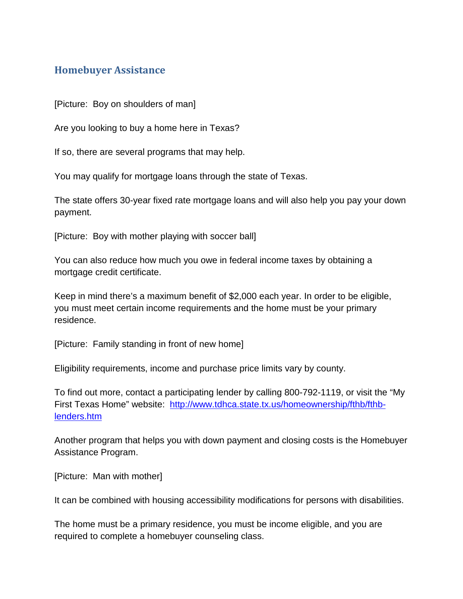## **Homebuyer Assistance**

[Picture: Boy on shoulders of man]

Are you looking to buy a home here in Texas?

If so, there are several programs that may help.

You may qualify for mortgage loans through the state of Texas.

The state offers 30-year fixed rate mortgage loans and will also help you pay your down payment.

[Picture: Boy with mother playing with soccer ball]

You can also reduce how much you owe in federal income taxes by obtaining a mortgage credit certificate.

Keep in mind there's a maximum benefit of \$2,000 each year. In order to be eligible, you must meet certain income requirements and the home must be your primary residence.

[Picture: Family standing in front of new home]

Eligibility requirements, income and purchase price limits vary by county.

To find out more, contact a participating lender by calling 800-792-1119, or visit the "My First Texas Home" website: [http://www.tdhca.state.tx.us/homeownership/fthb/fthb](http://www.tdhca.state.tx.us/homeownership/fthb/fthb-lenders.htm)[lenders.htm](http://www.tdhca.state.tx.us/homeownership/fthb/fthb-lenders.htm)

Another program that helps you with down payment and closing costs is the Homebuyer Assistance Program.

[Picture: Man with mother]

It can be combined with housing accessibility modifications for persons with disabilities.

The home must be a primary residence, you must be income eligible, and you are required to complete a homebuyer counseling class.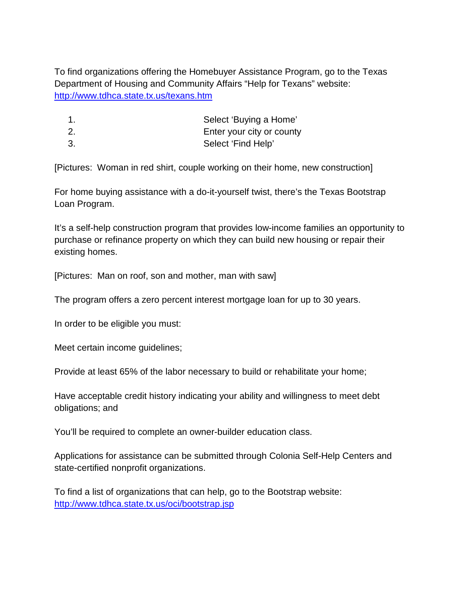To find organizations offering the Homebuyer Assistance Program, go to the Texas Department of Housing and Community Affairs "Help for Texans" website: <http://www.tdhca.state.tx.us/texans.htm>

- 1. Select 'Buying a Home'
- 2. Enter your city or county
- 3. Select 'Find Help'

[Pictures: Woman in red shirt, couple working on their home, new construction]

For home buying assistance with a do-it-yourself twist, there's the Texas Bootstrap Loan Program.

It's a self-help construction program that provides low-income families an opportunity to purchase or refinance property on which they can build new housing or repair their existing homes.

[Pictures: Man on roof, son and mother, man with saw]

The program offers a zero percent interest mortgage loan for up to 30 years.

In order to be eligible you must:

Meet certain income guidelines;

Provide at least 65% of the labor necessary to build or rehabilitate your home;

Have acceptable credit history indicating your ability and willingness to meet debt obligations; and

You'll be required to complete an owner-builder education class.

Applications for assistance can be submitted through Colonia Self-Help Centers and state-certified nonprofit organizations.

To find a list of organizations that can help, go to the Bootstrap website: <http://www.tdhca.state.tx.us/oci/bootstrap.jsp>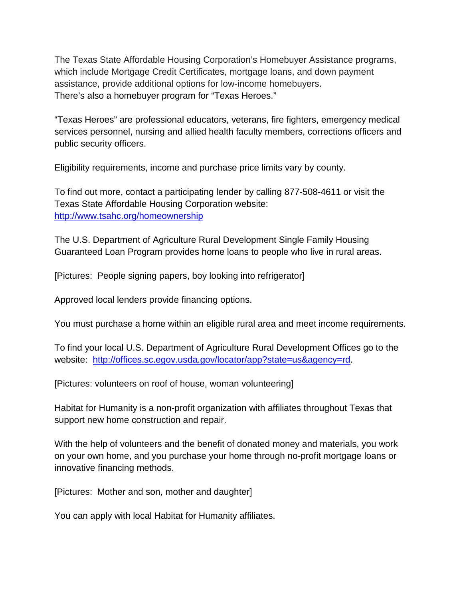The Texas State Affordable Housing Corporation's Homebuyer Assistance programs, which include Mortgage Credit Certificates, mortgage loans, and down payment assistance, provide additional options for low-income homebuyers. There's also a homebuyer program for "Texas Heroes."

"Texas Heroes" are professional educators, veterans, fire fighters, emergency medical services personnel, nursing and allied health faculty members, corrections officers and public security officers.

Eligibility requirements, income and purchase price limits vary by county.

To find out more, contact a participating lender by calling 877-508-4611 or visit the Texas State Affordable Housing Corporation website: <http://www.tsahc.org/homeownership>

The U.S. Department of Agriculture Rural Development Single Family Housing Guaranteed Loan Program provides home loans to people who live in rural areas.

[Pictures: People signing papers, boy looking into refrigerator]

Approved local lenders provide financing options.

You must purchase a home within an eligible rural area and meet income requirements.

To find your local U.S. Department of Agriculture Rural Development Offices go to the website: [http://offices.sc.egov.usda.gov/locator/app?state=us&agency=rd.](http://offices.sc.egov.usda.gov/locator/app?state=us&agency=rd)

[Pictures: volunteers on roof of house, woman volunteering]

Habitat for Humanity is a non-profit organization with affiliates throughout Texas that support new home construction and repair.

With the help of volunteers and the benefit of donated money and materials, you work on your own home, and you purchase your home through no-profit mortgage loans or innovative financing methods.

[Pictures: Mother and son, mother and daughter]

You can apply with local Habitat for Humanity affiliates.